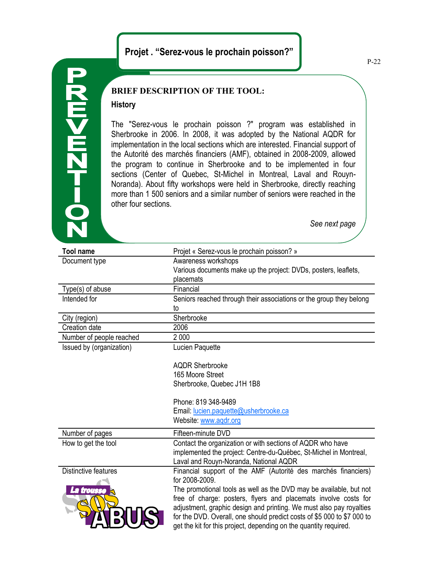# **Projet . "Serez-vous le prochain poisson?"**

# $0 - 12$   $\blacksquare$   $0 - 2$   $\blacksquare$

## **BRIEF DESCRIPTION OF THE TOOL:**

### **History**

The "Serez-vous le prochain poisson ?" program was established in Sherbrooke in 2006. In 2008, it was adopted by the National AQDR for implementation in the local sections which are interested. Financial support of the Autorité des marchés financiers (AMF), obtained in 2008-2009, allowed the program to continue in Sherbrooke and to be implemented in four sections (Center of Quebec, St-Michel in Montreal, Laval and Rouyn-Noranda). About fifty workshops were held in Sherbrooke, directly reaching more than 1 500 seniors and a similar number of seniors were reached in the other four sections.

*See next page*

| <b>Tool name</b>         | Projet « Serez-vous le prochain poisson? »                              |
|--------------------------|-------------------------------------------------------------------------|
| Document type            | Awareness workshops                                                     |
|                          | Various documents make up the project: DVDs, posters, leaflets,         |
|                          | placemats                                                               |
| Type(s) of abuse         | Financial                                                               |
| Intended for             | Seniors reached through their associations or the group they belong     |
|                          | to                                                                      |
| City (region)            | Sherbrooke                                                              |
| Creation date            | 2006                                                                    |
| Number of people reached | 2 0 0 0                                                                 |
| Issued by (organization) | Lucien Paquette                                                         |
|                          |                                                                         |
|                          | <b>AQDR Sherbrooke</b>                                                  |
|                          | 165 Moore Street                                                        |
|                          | Sherbrooke, Quebec J1H 1B8                                              |
|                          | Phone: 819 348-9489                                                     |
|                          | Email: lucien.paquette@usherbrooke.ca                                   |
|                          | Website: www.aqdr.org                                                   |
| Number of pages          | Fifteen-minute DVD                                                      |
| How to get the tool      | Contact the organization or with sections of AQDR who have              |
|                          | implemented the project: Centre-du-Québec, St-Michel in Montreal,       |
|                          | Laval and Rouyn-Noranda, National AQDR                                  |
| Distinctive features     | Financial support of the AMF (Autorité des marchés financiers)          |
|                          | for 2008-2009.                                                          |
| La trousse               | The promotional tools as well as the DVD may be available, but not      |
|                          | free of charge: posters, flyers and placemats involve costs for         |
|                          | adjustment, graphic design and printing. We must also pay royalties     |
|                          | for the DVD. Overall, one should predict costs of \$5 000 to \$7 000 to |
|                          | get the kit for this project, depending on the quantity required.       |